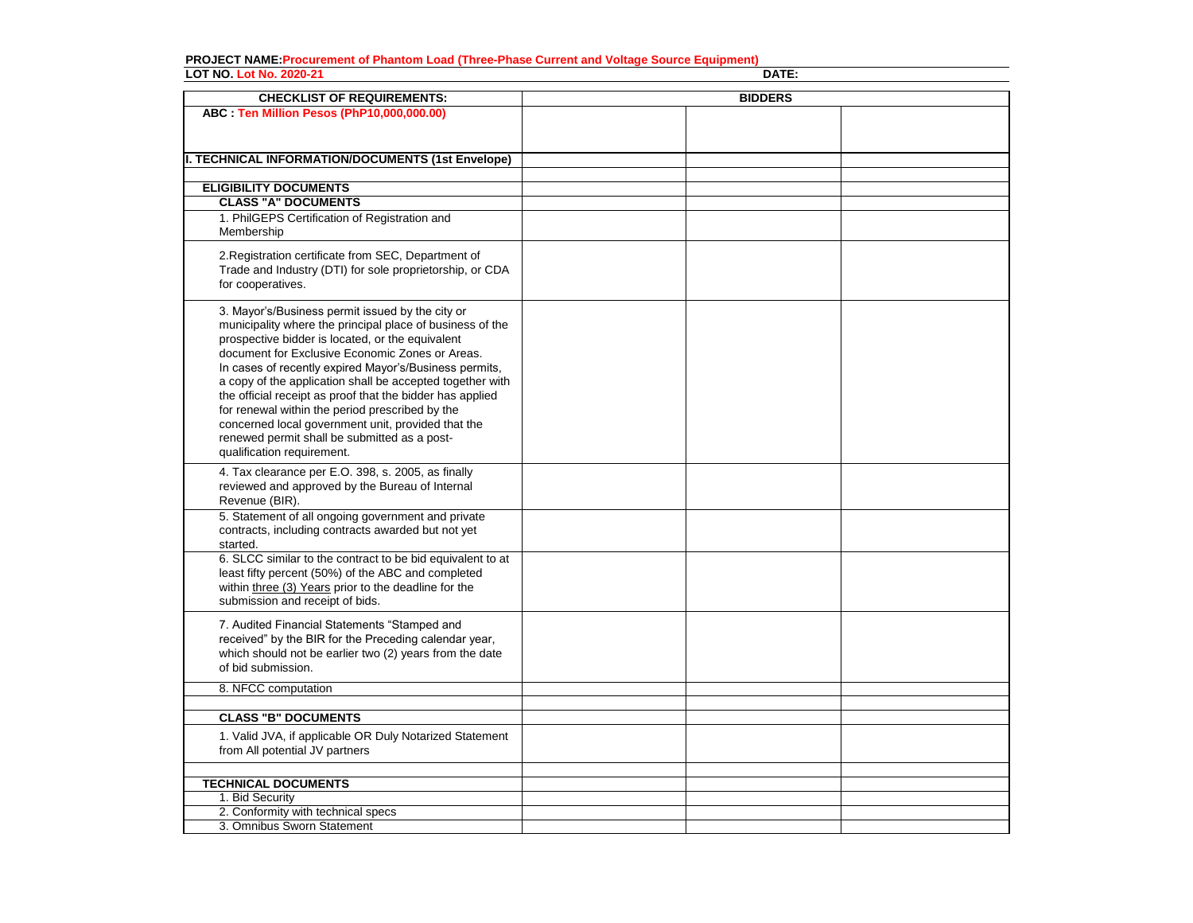## **PROJECT NAME:Procurement of Phantom Load (Three-Phase Current and Voltage Source Equipment) LOT NO. Lot No. 2020-21 DATE:**

| <b>CHECKLIST OF REQUIREMENTS:</b><br><b>BIDDERS</b><br>ABC : Ten Million Pesos (PhP10,000,000.00)<br><b>II. TECHNICAL INFORMATION/DOCUMENTS (1st Envelope)</b><br><b>ELIGIBILITY DOCUMENTS</b><br><b>CLASS "A" DOCUMENTS</b><br>1. PhilGEPS Certification of Registration and<br>Membership<br>2. Registration certificate from SEC, Department of<br>Trade and Industry (DTI) for sole proprietorship, or CDA<br>for cooperatives.<br>3. Mayor's/Business permit issued by the city or<br>municipality where the principal place of business of the<br>prospective bidder is located, or the equivalent<br>document for Exclusive Economic Zones or Areas.<br>In cases of recently expired Mayor's/Business permits,<br>a copy of the application shall be accepted together with<br>the official receipt as proof that the bidder has applied<br>for renewal within the period prescribed by the<br>concerned local government unit, provided that the<br>renewed permit shall be submitted as a post-<br>qualification requirement.<br>4. Tax clearance per E.O. 398, s. 2005, as finally<br>reviewed and approved by the Bureau of Internal<br>Revenue (BIR).<br>5. Statement of all ongoing government and private<br>contracts, including contracts awarded but not yet<br>started.<br>6. SLCC similar to the contract to be bid equivalent to at<br>least fifty percent (50%) of the ABC and completed<br>within three (3) Years prior to the deadline for the<br>submission and receipt of bids. |  |
|----------------------------------------------------------------------------------------------------------------------------------------------------------------------------------------------------------------------------------------------------------------------------------------------------------------------------------------------------------------------------------------------------------------------------------------------------------------------------------------------------------------------------------------------------------------------------------------------------------------------------------------------------------------------------------------------------------------------------------------------------------------------------------------------------------------------------------------------------------------------------------------------------------------------------------------------------------------------------------------------------------------------------------------------------------------------------------------------------------------------------------------------------------------------------------------------------------------------------------------------------------------------------------------------------------------------------------------------------------------------------------------------------------------------------------------------------------------------------------------------------------|--|
|                                                                                                                                                                                                                                                                                                                                                                                                                                                                                                                                                                                                                                                                                                                                                                                                                                                                                                                                                                                                                                                                                                                                                                                                                                                                                                                                                                                                                                                                                                          |  |
|                                                                                                                                                                                                                                                                                                                                                                                                                                                                                                                                                                                                                                                                                                                                                                                                                                                                                                                                                                                                                                                                                                                                                                                                                                                                                                                                                                                                                                                                                                          |  |
|                                                                                                                                                                                                                                                                                                                                                                                                                                                                                                                                                                                                                                                                                                                                                                                                                                                                                                                                                                                                                                                                                                                                                                                                                                                                                                                                                                                                                                                                                                          |  |
|                                                                                                                                                                                                                                                                                                                                                                                                                                                                                                                                                                                                                                                                                                                                                                                                                                                                                                                                                                                                                                                                                                                                                                                                                                                                                                                                                                                                                                                                                                          |  |
|                                                                                                                                                                                                                                                                                                                                                                                                                                                                                                                                                                                                                                                                                                                                                                                                                                                                                                                                                                                                                                                                                                                                                                                                                                                                                                                                                                                                                                                                                                          |  |
|                                                                                                                                                                                                                                                                                                                                                                                                                                                                                                                                                                                                                                                                                                                                                                                                                                                                                                                                                                                                                                                                                                                                                                                                                                                                                                                                                                                                                                                                                                          |  |
|                                                                                                                                                                                                                                                                                                                                                                                                                                                                                                                                                                                                                                                                                                                                                                                                                                                                                                                                                                                                                                                                                                                                                                                                                                                                                                                                                                                                                                                                                                          |  |
|                                                                                                                                                                                                                                                                                                                                                                                                                                                                                                                                                                                                                                                                                                                                                                                                                                                                                                                                                                                                                                                                                                                                                                                                                                                                                                                                                                                                                                                                                                          |  |
|                                                                                                                                                                                                                                                                                                                                                                                                                                                                                                                                                                                                                                                                                                                                                                                                                                                                                                                                                                                                                                                                                                                                                                                                                                                                                                                                                                                                                                                                                                          |  |
|                                                                                                                                                                                                                                                                                                                                                                                                                                                                                                                                                                                                                                                                                                                                                                                                                                                                                                                                                                                                                                                                                                                                                                                                                                                                                                                                                                                                                                                                                                          |  |
|                                                                                                                                                                                                                                                                                                                                                                                                                                                                                                                                                                                                                                                                                                                                                                                                                                                                                                                                                                                                                                                                                                                                                                                                                                                                                                                                                                                                                                                                                                          |  |
|                                                                                                                                                                                                                                                                                                                                                                                                                                                                                                                                                                                                                                                                                                                                                                                                                                                                                                                                                                                                                                                                                                                                                                                                                                                                                                                                                                                                                                                                                                          |  |
|                                                                                                                                                                                                                                                                                                                                                                                                                                                                                                                                                                                                                                                                                                                                                                                                                                                                                                                                                                                                                                                                                                                                                                                                                                                                                                                                                                                                                                                                                                          |  |
| 7. Audited Financial Statements "Stamped and<br>received" by the BIR for the Preceding calendar year,<br>which should not be earlier two (2) years from the date<br>of bid submission.                                                                                                                                                                                                                                                                                                                                                                                                                                                                                                                                                                                                                                                                                                                                                                                                                                                                                                                                                                                                                                                                                                                                                                                                                                                                                                                   |  |
| 8. NFCC computation                                                                                                                                                                                                                                                                                                                                                                                                                                                                                                                                                                                                                                                                                                                                                                                                                                                                                                                                                                                                                                                                                                                                                                                                                                                                                                                                                                                                                                                                                      |  |
| <b>CLASS "B" DOCUMENTS</b>                                                                                                                                                                                                                                                                                                                                                                                                                                                                                                                                                                                                                                                                                                                                                                                                                                                                                                                                                                                                                                                                                                                                                                                                                                                                                                                                                                                                                                                                               |  |
| 1. Valid JVA, if applicable OR Duly Notarized Statement<br>from All potential JV partners                                                                                                                                                                                                                                                                                                                                                                                                                                                                                                                                                                                                                                                                                                                                                                                                                                                                                                                                                                                                                                                                                                                                                                                                                                                                                                                                                                                                                |  |
|                                                                                                                                                                                                                                                                                                                                                                                                                                                                                                                                                                                                                                                                                                                                                                                                                                                                                                                                                                                                                                                                                                                                                                                                                                                                                                                                                                                                                                                                                                          |  |
| <b>TECHNICAL DOCUMENTS</b><br>1. Bid Security                                                                                                                                                                                                                                                                                                                                                                                                                                                                                                                                                                                                                                                                                                                                                                                                                                                                                                                                                                                                                                                                                                                                                                                                                                                                                                                                                                                                                                                            |  |
| 2. Conformity with technical specs                                                                                                                                                                                                                                                                                                                                                                                                                                                                                                                                                                                                                                                                                                                                                                                                                                                                                                                                                                                                                                                                                                                                                                                                                                                                                                                                                                                                                                                                       |  |
| 3. Omnibus Sworn Statement                                                                                                                                                                                                                                                                                                                                                                                                                                                                                                                                                                                                                                                                                                                                                                                                                                                                                                                                                                                                                                                                                                                                                                                                                                                                                                                                                                                                                                                                               |  |